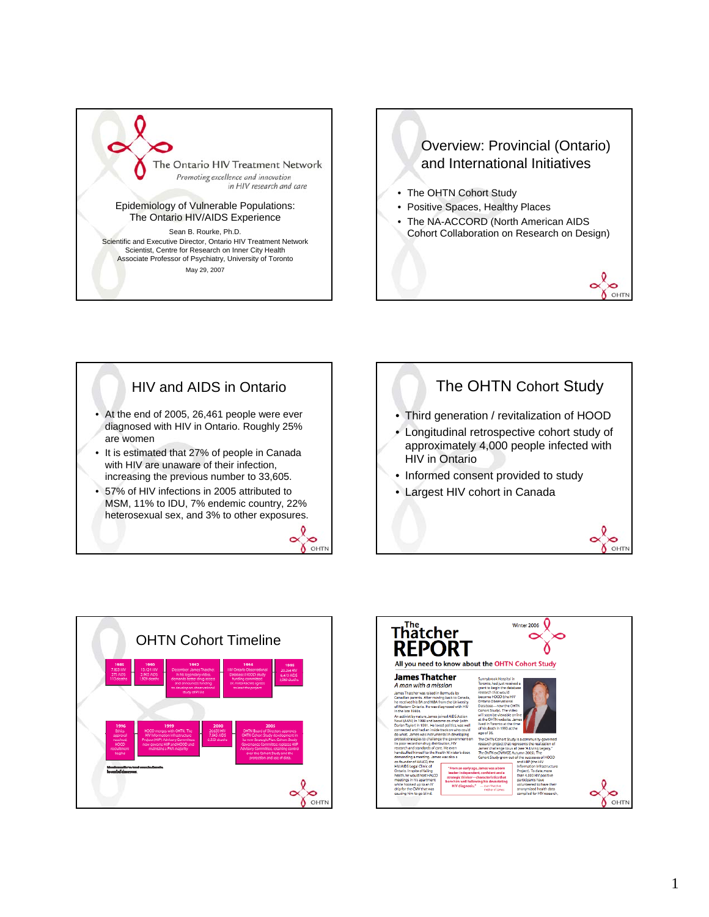

## Overview: Provincial (Ontario) and International Initiatives

- The OHTN Cohort Study
- Positive Spaces, Healthy Places
- The NA-ACCORD (North American AIDS Cohort Collaboration on Research on Design)

0  $\infty$  $\delta$  OHT



- It is estimated that 27% of people in Canada with HIV are unaware of their infection, increasing the previous number to 33,605.
- 57% of HIV infections in 2005 attributed to MSM, 11% to IDU, 7% endemic country, 22% heterosexual sex, and 3% to other exposures. **PO**<br>OHTN

 $\tilde{\phantom{a}}$ 





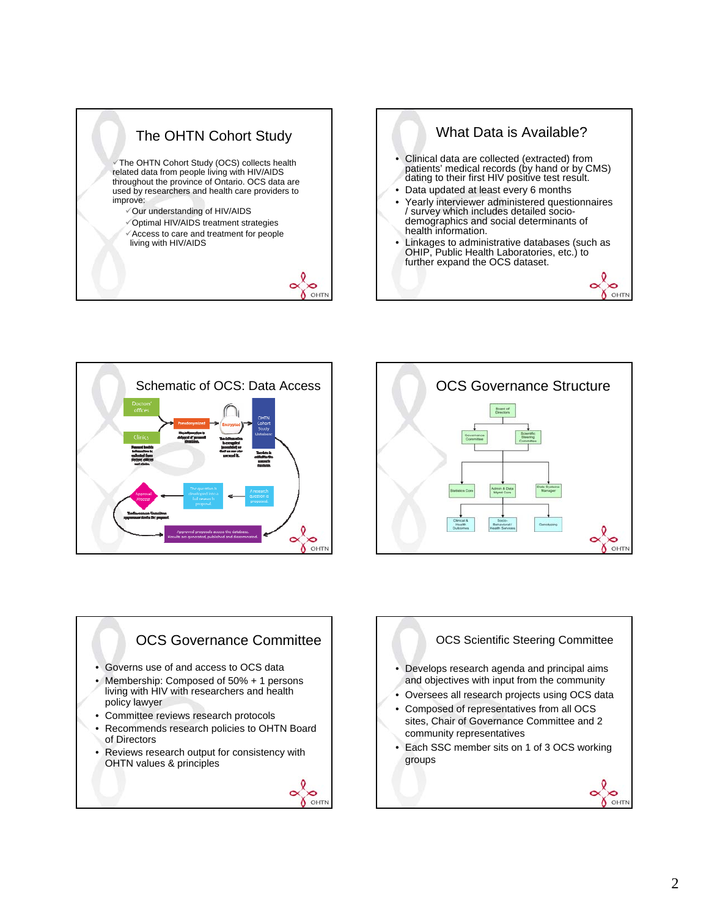





## OCS Governance Committee • Governs use of and access to OCS data • Membership: Composed of 50% + 1 persons living with HIV with researchers and health policy lawyer • Committee reviews research protocols • Recommends research policies to OHTN Board of Directors • Reviews research output for consistency with OHTN values & principles



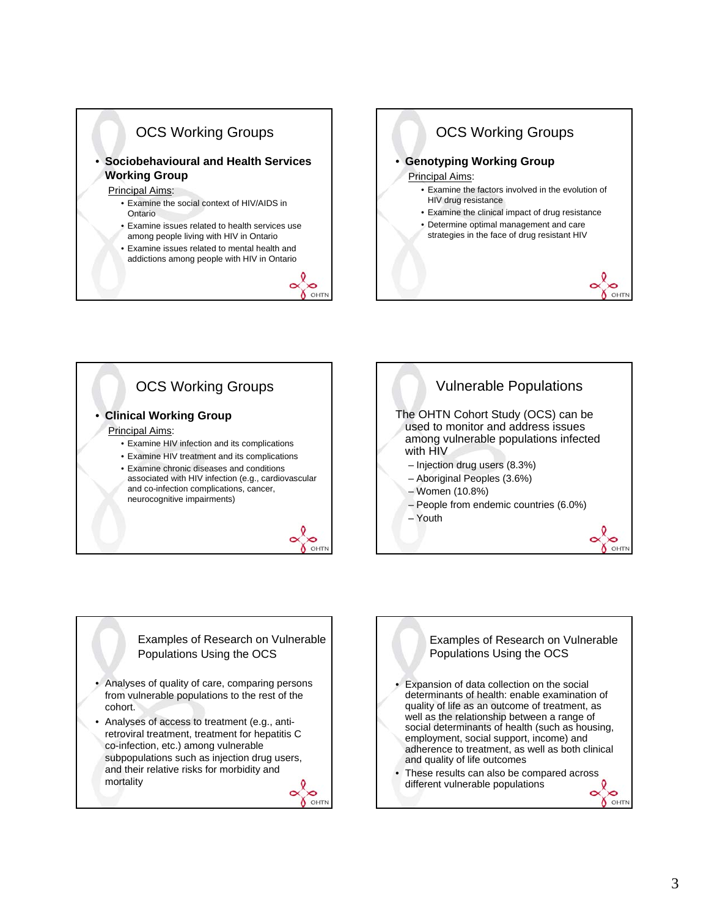



## Examples of Research on Vulnerable Populations Using the OCS

- Analyses of quality of care, comparing persons from vulnerable populations to the rest of the cohort.
- Analyses of access to treatment (e.g., antiretroviral treatment, treatment for hepatitis C co-infection, etc.) among vulnerable subpopulations such as injection drug users, and their relative risks for morbidity and mortality





 $\bullet$ OHTN

OHTN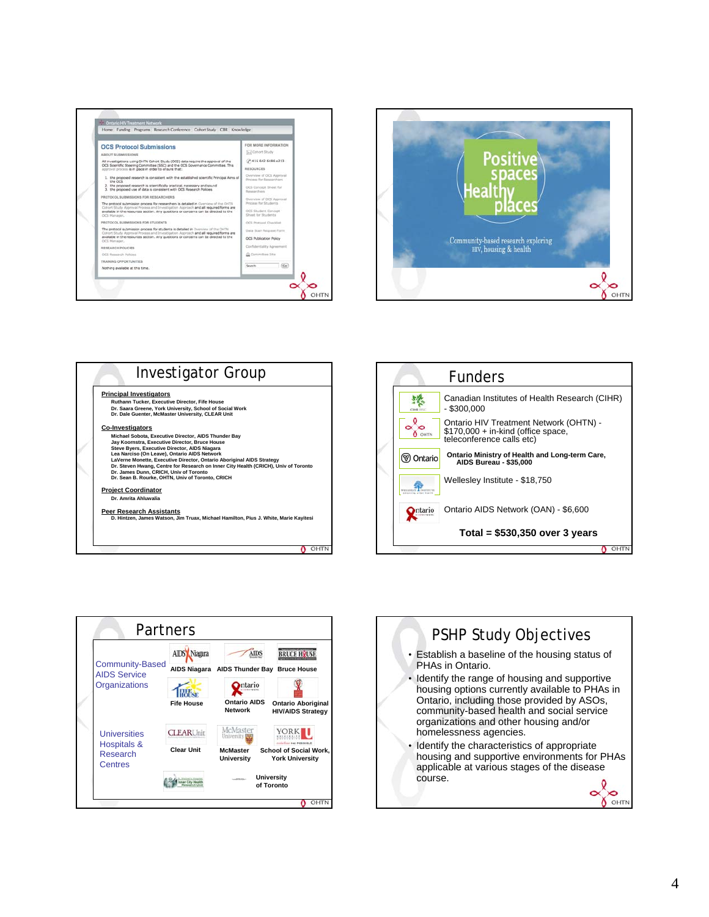









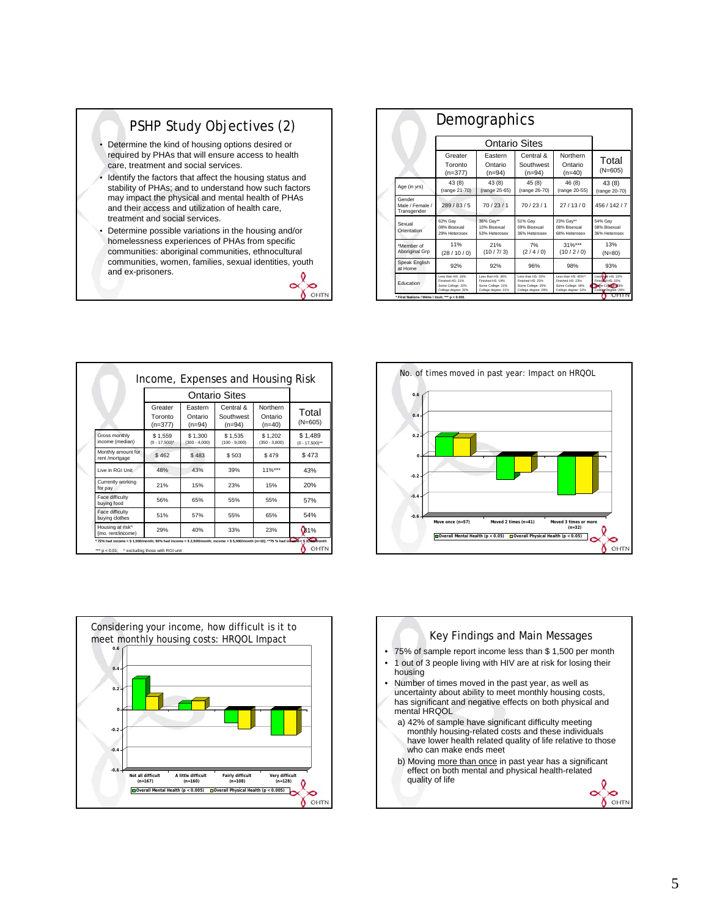

communities: aboriginal communities, ethnocultural communities, women, families, sexual identities, youth and ex-prisoners.

 $\tilde{\phantom{a}}$  $\infty$  $\delta$  OHT

|                                          | Demographics                                                                      |                                                                                   |                                                                                   |                                                                                     |                                                                                |
|------------------------------------------|-----------------------------------------------------------------------------------|-----------------------------------------------------------------------------------|-----------------------------------------------------------------------------------|-------------------------------------------------------------------------------------|--------------------------------------------------------------------------------|
|                                          |                                                                                   |                                                                                   |                                                                                   |                                                                                     |                                                                                |
|                                          | Greater<br>Toronto<br>$(n=377)$                                                   | Fastern<br>Ontario<br>$(n=94)$                                                    | Central &<br>Southwest<br>$(n=94)$                                                | Northern<br>Ontario<br>$(n=40)$                                                     | Total<br>$(N=605)$                                                             |
| Age (in yrs)                             | 43 (8)<br>(range 21-70)                                                           | 43 (8)<br>(range 25-65)                                                           | 45(8)<br>(range 26-70)                                                            | 46 (8)<br>(range 20-55)                                                             | 43 (8)<br>(range 20-70)                                                        |
| Gender<br>Male / Female /<br>Transgender | 289/83/5                                                                          | 70/23/1                                                                           | 70/23/1                                                                           | 27/13/0                                                                             | 456 / 142 / 7                                                                  |
| Sexual<br>Orientation                    | 62% Gav<br>08% Bisexual<br>29% Heterosex                                          | 36% Gay**<br>10% Bisexual<br>53% Heterosex                                        | 51% Gav<br>09% Bisexual<br>36% Heterosex                                          | 23% Gav**<br>08% Bisexual<br>68% Heterosex                                          | 54% Gav<br>08% Bisexual<br>36% Heterosex                                       |
| *Member of<br>Aboriginal Grp             | 11%<br>(28/10/0)                                                                  | 21%<br>(10/7/3)                                                                   | 7%<br>(2/4/0)                                                                     | $31\%***$<br>(10/2/0)                                                               | 13%<br>$(N=80)$                                                                |
| Speak English<br>at Home                 | 92%                                                                               | 92%                                                                               | 96%                                                                               | 98%                                                                                 | 93%                                                                            |
| Education                                | Less than HS: 18%<br>Finished HS: 21%<br>Some College: 22%<br>College degree: 32% | Less than HS: 38%<br>Finished HS: 19%<br>Some College: 21%<br>College degree: 21% | Less than HS: 20%<br>Finished HS: 25%<br>Some College: 25%<br>College degree: 29% | Less than HS: 45%**<br>Finished HS: 23%<br>Some College: 18%<br>College degree: 10% | Lossibon HS-22%<br>Finished HS: 22%<br>Some College 23%<br>College degree: 28% |

|                                       |                                 | Income, Expenses and Housing Risk |                                    |                                 |                                |
|---------------------------------------|---------------------------------|-----------------------------------|------------------------------------|---------------------------------|--------------------------------|
|                                       |                                 |                                   |                                    |                                 |                                |
|                                       | Greater<br>Toronto<br>$(n=377)$ | Eastern<br>Ontario<br>$(n=94)$    | Central &<br>Southwest<br>$(n=94)$ | Northern<br>Ontario<br>$(n=40)$ | Total<br>$(N=605)$             |
| Gross monthly<br>income (median)      | \$1.559<br>$(0 - 17.500)^*$     | \$1.300<br>$(300 - 4.000)$        | \$1.535<br>$(100 - 9.000)$         | \$1.202<br>$(350 - 3.800)$      | \$1,489<br>$(0 - 17,500)^{**}$ |
| Monthly amount for<br>rent /mortgage  | \$462                           | \$483                             | \$503                              | \$479                           | \$473                          |
| Live in RGI Unit                      | 48%                             | 43%                               | 39%                                | $11\%***$                       | 43%                            |
| Currently working<br>for pay          | 21%                             | 15%                               | 23%                                | 15%                             | 20%                            |
| Face difficulty<br>buying food        | 56%                             | 65%                               | 55%                                | 55%                             | 57%                            |
| Face difficulty<br>buving clothes     | 51%                             | 57%                               | 55%                                | 65%                             | 54%                            |
| Housing at risk^<br>(mo. rent/income) | 29%                             | 40%                               | 33%                                | 23%                             | \$1%                           |





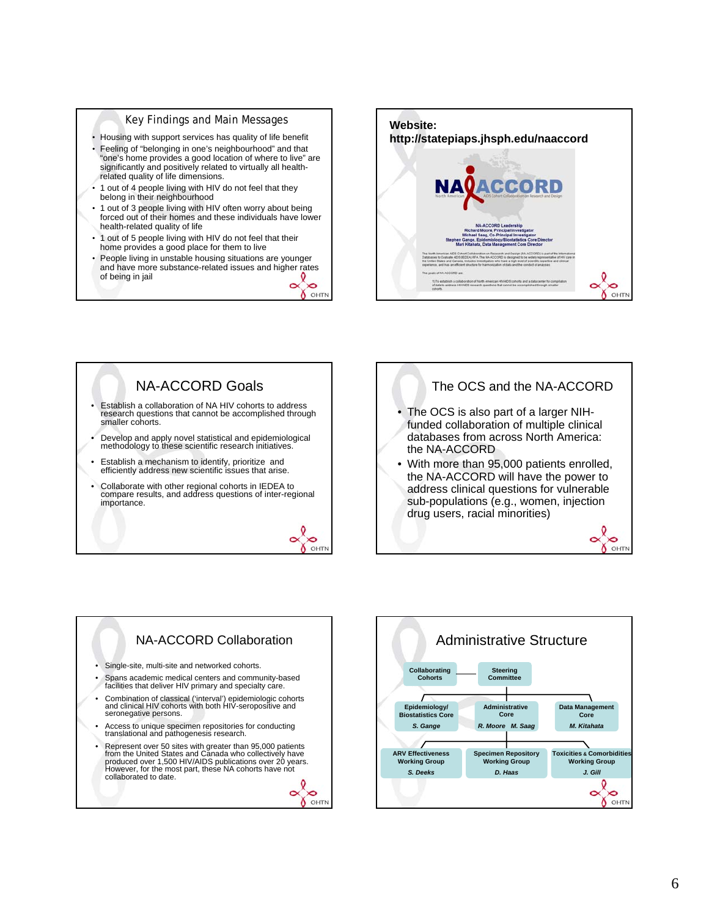## Key Findings and Main Messages

- Housing with support services has quality of life benefit
- Feeling of "belonging in one's neighbourhood" and that "one's home provides a good location of where to live" are significantly and positively related to virtually all healthrelated quality of life dimensions.
- 1 out of 4 people living with HIV do not feel that they belong in their neighbourhood
- 1 out of 3 people living with HIV often worry about being forced out of their homes and these individuals have lower health-related quality of life
- 1 out of 5 people living with HIV do not feel that their home provides a good place for them to live
- People living in unstable housing situations are younger and have more substance-related issues and higher rates of being in jail  $\sim$  $\infty$







O OHTN



 $\tilde{\phantom{a}}$  $\infty$ 

O OHTN

• With more than 95,000 patients enrolled, the NA-ACCORD will have the power to address clinical questions for vulnerable sub-populations (e.g., women, injection drug users, racial minorities)